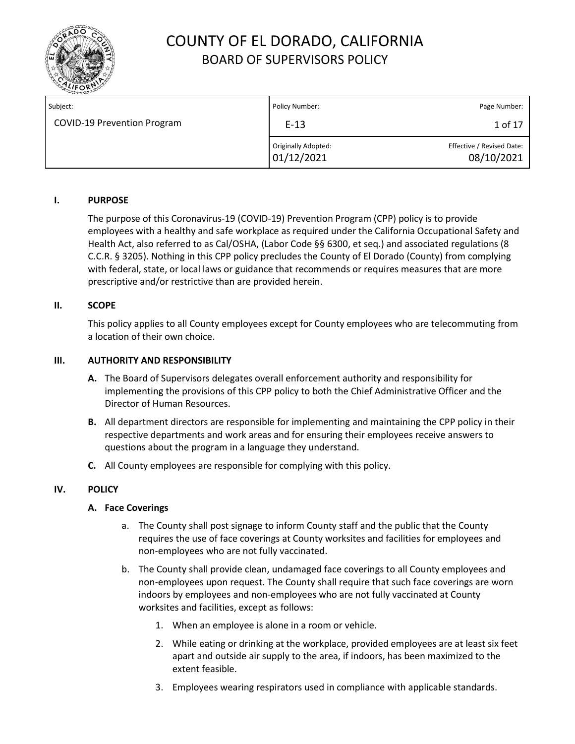

| Subject:                           | Policy Number:                           | Page Number:                            |
|------------------------------------|------------------------------------------|-----------------------------------------|
| <b>COVID-19 Prevention Program</b> | $E-13$                                   | 1 of 17                                 |
|                                    | <b>Originally Adopted:</b><br>01/12/2021 | Effective / Revised Date:<br>08/10/2021 |

### **I. PURPOSE**

The purpose of this Coronavirus‐19 (COVID‐19) Prevention Program (CPP) policy is to provide employees with a healthy and safe workplace as required under the California Occupational Safety and Health Act, also referred to as Cal/OSHA, (Labor Code §§ 6300, et seq.) and associated regulations (8 C.C.R. § 3205). Nothing in this CPP policy precludes the County of El Dorado (County) from complying with federal, state, or local laws or guidance that recommends or requires measures that are more prescriptive and/or restrictive than are provided herein.

#### **II. SCOPE**

This policy applies to all County employees except for County employees who are telecommuting from a location of their own choice.

#### **III. AUTHORITY AND RESPONSIBILITY**

- **A.** The Board of Supervisors delegates overall enforcement authority and responsibility for implementing the provisions of this CPP policy to both the Chief Administrative Officer and the Director of Human Resources.
- **B.** All department directors are responsible for implementing and maintaining the CPP policy in their respective departments and work areas and for ensuring their employees receive answers to questions about the program in a language they understand.
- **C.** All County employees are responsible for complying with this policy.

### **IV. POLICY**

#### **A. Face Coverings**

- a. The County shall post signage to inform County staff and the public that the County requires the use of face coverings at County worksites and facilities for employees and non-employees who are not fully vaccinated.
- b. The County shall provide clean, undamaged face coverings to all County employees and non-employees upon request. The County shall require that such face coverings are worn indoors by employees and non-employees who are not fully vaccinated at County worksites and facilities, except as follows:
	- 1. When an employee is alone in a room or vehicle.
	- 2. While eating or drinking at the workplace, provided employees are at least six feet apart and outside air supply to the area, if indoors, has been maximized to the extent feasible.
	- 3. Employees wearing respirators used in compliance with applicable standards.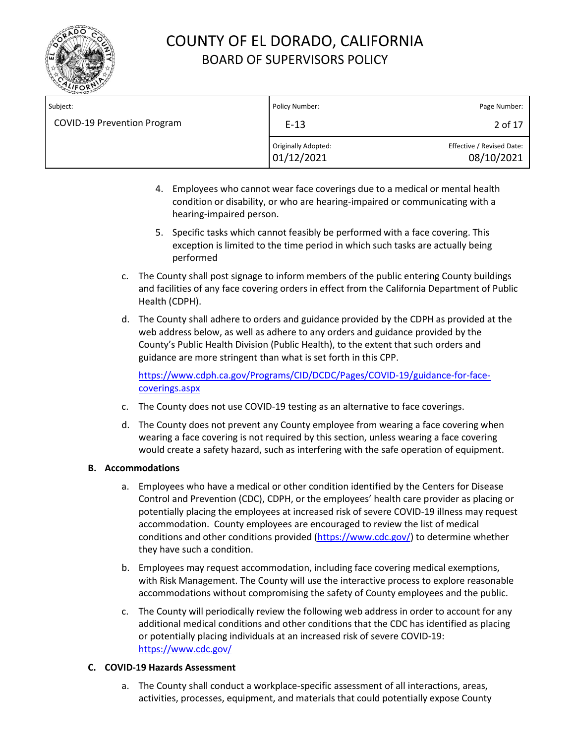

| Subject:                           | Policy Number:                    | Page Number:                            |
|------------------------------------|-----------------------------------|-----------------------------------------|
| <b>COVID-19 Prevention Program</b> | $E-13$                            | 2 of 17                                 |
|                                    | Originally Adopted:<br>01/12/2021 | Effective / Revised Date:<br>08/10/2021 |

- 4. Employees who cannot wear face coverings due to a medical or mental health condition or disability, or who are hearing-impaired or communicating with a hearing-impaired person.
- 5. Specific tasks which cannot feasibly be performed with a face covering. This exception is limited to the time period in which such tasks are actually being performed
- c. The County shall post signage to inform members of the public entering County buildings and facilities of any face covering orders in effect from the California Department of Public Health (CDPH).
- d. The County shall adhere to orders and guidance provided by the CDPH as provided at the web address below, as well as adhere to any orders and guidance provided by the County's Public Health Division (Public Health), to the extent that such orders and guidance are more stringent than what is set forth in this CPP.

https://www.cdph.ca.gov/Programs/CID/DCDC/Pages/COVID-19/guidance-for-face[coverings.aspx](https://www.cdph.ca.gov/Programs/CID/DCDC/Pages/COVID‐19/guidance‐for‐face‐coverings.aspx)

- c. The County does not use COVID‐19 testing as an alternative to face coverings.
- d. The County does not prevent any County employee from wearing a face covering when wearing a face covering is not required by this section, unless wearing a face covering would create a safety hazard, such as interfering with the safe operation of equipment.

### **B. Accommodations**

- a. Employees who have a medical or other condition identified by the Centers for Disease Control and Prevention (CDC), CDPH, or the employees' health care provider as placing or potentially placing the employees at increased risk of severe COVID‐19 illness may request accommodation. County employees are encouraged to review the list of medical conditions and other conditions provided [\(https://www.cdc.gov/\)](https://www.cdc.gov/) to determine whether they have such a condition.
- b. Employees may request accommodation, including face covering medical exemptions, with Risk Management. The County will use the interactive process to explore reasonable accommodations without compromising the safety of County employees and the public.
- c. The County will periodically review the following web address in order to account for any additional medical conditions and other conditions that the CDC has identified as placing or potentially placing individuals at an increased risk of severe COVID‐19: <https://www.cdc.gov/>

### **C. COVID‐19 Hazards Assessment**

a. The County shall conduct a workplace‐specific assessment of all interactions, areas, activities, processes, equipment, and materials that could potentially expose County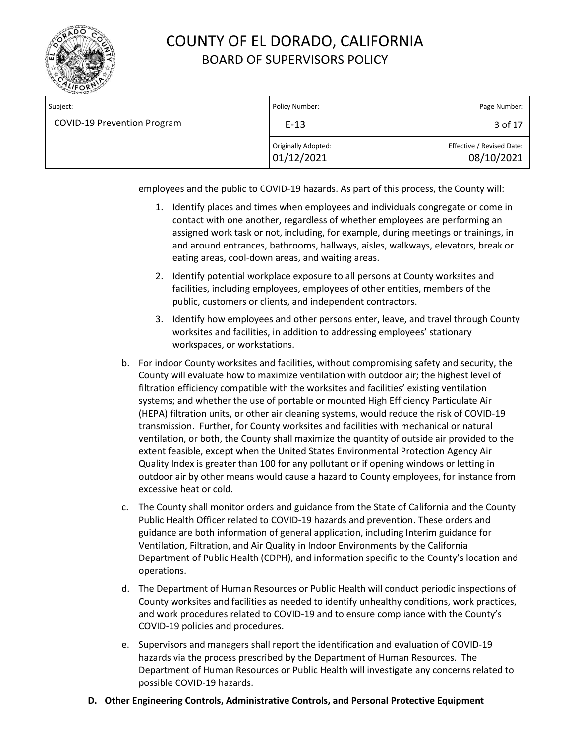

| Subject:                           | Policy Number:                    | Page Number:                            |
|------------------------------------|-----------------------------------|-----------------------------------------|
| <b>COVID-19 Prevention Program</b> | $E-13$                            | 3 of 17                                 |
|                                    | Originally Adopted:<br>01/12/2021 | Effective / Revised Date:<br>08/10/2021 |

employees and the public to COVID‐19 hazards. As part of this process, the County will:

- 1. Identify places and times when employees and individuals congregate or come in contact with one another, regardless of whether employees are performing an assigned work task or not, including, for example, during meetings or trainings, in and around entrances, bathrooms, hallways, aisles, walkways, elevators, break or eating areas, cool‐down areas, and waiting areas.
- 2. Identify potential workplace exposure to all persons at County worksites and facilities, including employees, employees of other entities, members of the public, customers or clients, and independent contractors.
- 3. Identify how employees and other persons enter, leave, and travel through County worksites and facilities, in addition to addressing employees' stationary workspaces, or workstations.
- b. For indoor County worksites and facilities, without compromising safety and security, the County will evaluate how to maximize ventilation with outdoor air; the highest level of filtration efficiency compatible with the worksites and facilities' existing ventilation systems; and whether the use of portable or mounted High Efficiency Particulate Air (HEPA) filtration units, or other air cleaning systems, would reduce the risk of COVID-19 transmission. Further, for County worksites and facilities with mechanical or natural ventilation, or both, the County shall maximize the quantity of outside air provided to the extent feasible, except when the United States Environmental Protection Agency Air Quality Index is greater than 100 for any pollutant or if opening windows or letting in outdoor air by other means would cause a hazard to County employees, for instance from excessive heat or cold.
- c. The County shall monitor orders and guidance from the State of California and the County Public Health Officer related to COVID‐19 hazards and prevention. These orders and guidance are both information of general application, including Interim guidance for Ventilation, Filtration, and Air Quality in Indoor Environments by the California Department of Public Health (CDPH), and information specific to the County's location and operations.
- d. The Department of Human Resources or Public Health will conduct periodic inspections of County worksites and facilities as needed to identify unhealthy conditions, work practices, and work procedures related to COVID-19 and to ensure compliance with the County's COVID‐19 policies and procedures.
- e. Supervisors and managers shall report the identification and evaluation of COVID‐19 hazards via the process prescribed by the Department of Human Resources. The Department of Human Resources or Public Health will investigate any concerns related to possible COVID‐19 hazards.
- **D. Other Engineering Controls, Administrative Controls, and Personal Protective Equipment**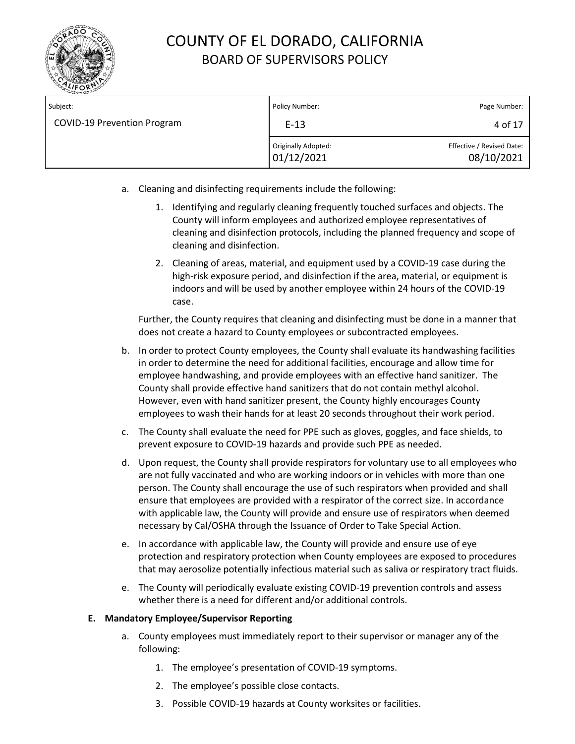

| Subject:                           | Policy Number:                    | Page Number:                            |
|------------------------------------|-----------------------------------|-----------------------------------------|
| <b>COVID-19 Prevention Program</b> | $E-13$                            | 4 of 17                                 |
|                                    | Originally Adopted:<br>01/12/2021 | Effective / Revised Date:<br>08/10/2021 |

- a. Cleaning and disinfecting requirements include the following:
	- 1. Identifying and regularly cleaning frequently touched surfaces and objects. The County will inform employees and authorized employee representatives of cleaning and disinfection protocols, including the planned frequency and scope of cleaning and disinfection.
	- 2. Cleaning of areas, material, and equipment used by a COVID-19 case during the high-risk exposure period, and disinfection if the area, material, or equipment is indoors and will be used by another employee within 24 hours of the COVID-19 case.

Further, the County requires that cleaning and disinfecting must be done in a manner that does not create a hazard to County employees or subcontracted employees.

- b. In order to protect County employees, the County shall evaluate its handwashing facilities in order to determine the need for additional facilities, encourage and allow time for employee handwashing, and provide employees with an effective hand sanitizer. The County shall provide effective hand sanitizers that do not contain methyl alcohol. However, even with hand sanitizer present, the County highly encourages County employees to wash their hands for at least 20 seconds throughout their work period.
- c. The County shall evaluate the need for PPE such as gloves, goggles, and face shields, to prevent exposure to COVID‐19 hazards and provide such PPE as needed.
- d. Upon request, the County shall provide respirators for voluntary use to all employees who are not fully vaccinated and who are working indoors or in vehicles with more than one person. The County shall encourage the use of such respirators when provided and shall ensure that employees are provided with a respirator of the correct size. In accordance with applicable law, the County will provide and ensure use of respirators when deemed necessary by Cal/OSHA through the Issuance of Order to Take Special Action.
- e. In accordance with applicable law, the County will provide and ensure use of eye protection and respiratory protection when County employees are exposed to procedures that may aerosolize potentially infectious material such as saliva or respiratory tract fluids.
- e. The County will periodically evaluate existing COVID‐19 prevention controls and assess whether there is a need for different and/or additional controls.

### **E. Mandatory Employee/Supervisor Reporting**

- a. County employees must immediately report to their supervisor or manager any of the following:
	- 1. The employee's presentation of COVID‐19 symptoms.
	- 2. The employee's possible close contacts.
	- 3. Possible COVID‐19 hazards at County worksites or facilities.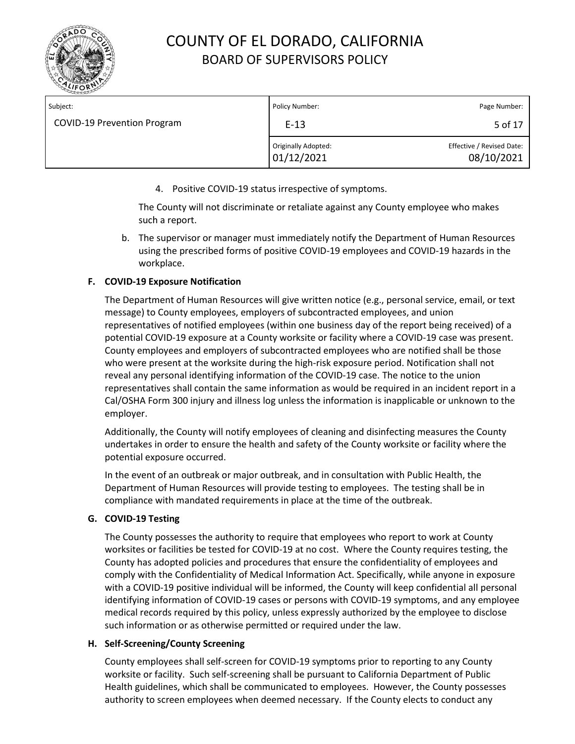

| Subject:                           | Policy Number:                    | Page Number:                            |
|------------------------------------|-----------------------------------|-----------------------------------------|
| <b>COVID-19 Prevention Program</b> | $E-13$                            | 5 of 17                                 |
|                                    | Originally Adopted:<br>01/12/2021 | Effective / Revised Date:<br>08/10/2021 |

4. Positive COVID‐19 status irrespective of symptoms.

The County will not discriminate or retaliate against any County employee who makes such a report.

b. The supervisor or manager must immediately notify the Department of Human Resources using the prescribed forms of positive COVID-19 employees and COVID-19 hazards in the workplace.

### **F. COVID‐19 Exposure Notification**

The Department of Human Resources will give written notice (e.g., personal service, email, or text message) to County employees, employers of subcontracted employees, and union representatives of notified employees (within one business day of the report being received) of a potential COVID‐19 exposure at a County worksite or facility where a COVID‐19 case was present. County employees and employers of subcontracted employees who are notified shall be those who were present at the worksite during the high-risk exposure period. Notification shall not reveal any personal identifying information of the COVID‐19 case. The notice to the union representatives shall contain the same information as would be required in an incident report in a Cal/OSHA Form 300 injury and illness log unless the information is inapplicable or unknown to the employer.

Additionally, the County will notify employees of cleaning and disinfecting measures the County undertakes in order to ensure the health and safety of the County worksite or facility where the potential exposure occurred.

In the event of an outbreak or major outbreak, and in consultation with Public Health, the Department of Human Resources will provide testing to employees. The testing shall be in compliance with mandated requirements in place at the time of the outbreak.

### **G. COVID‐19 Testing**

The County possesses the authority to require that employees who report to work at County worksites or facilities be tested for COVID‐19 at no cost. Where the County requires testing, the County has adopted policies and procedures that ensure the confidentiality of employees and comply with the Confidentiality of Medical Information Act. Specifically, while anyone in exposure with a COVID-19 positive individual will be informed, the County will keep confidential all personal identifying information of COVID‐19 cases or persons with COVID‐19 symptoms, and any employee medical records required by this policy, unless expressly authorized by the employee to disclose such information or as otherwise permitted or required under the law.

### **H. Self‐Screening/County Screening**

County employees shall self‐screen for COVID‐19 symptoms prior to reporting to any County worksite or facility. Such self‐screening shall be pursuant to California Department of Public Health guidelines, which shall be communicated to employees. However, the County possesses authority to screen employees when deemed necessary. If the County elects to conduct any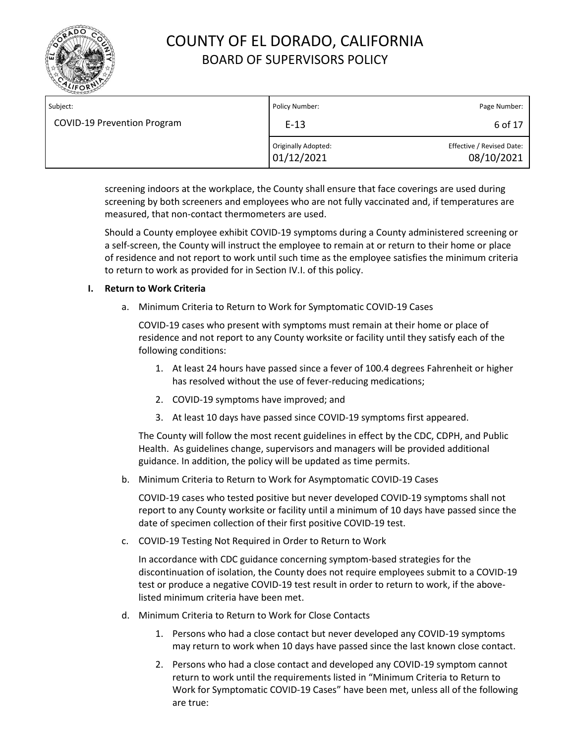

| Subject:                           | Policy Number:                    | Page Number:                            |
|------------------------------------|-----------------------------------|-----------------------------------------|
| <b>COVID-19 Prevention Program</b> | $E-13$                            | 6 of 17                                 |
|                                    | Originally Adopted:<br>01/12/2021 | Effective / Revised Date:<br>08/10/2021 |

screening indoors at the workplace, the County shall ensure that face coverings are used during screening by both screeners and employees who are not fully vaccinated and, if temperatures are measured, that non‐contact thermometers are used.

Should a County employee exhibit COVID‐19 symptoms during a County administered screening or a self‐screen, the County will instruct the employee to remain at or return to their home or place of residence and not report to work until such time as the employee satisfies the minimum criteria to return to work as provided for in Section IV.I. of this policy.

### **I. Return to Work Criteria**

a. Minimum Criteria to Return to Work for Symptomatic COVID‐19 Cases

COVID‐19 cases who present with symptoms must remain at their home or place of residence and not report to any County worksite or facility until they satisfy each of the following conditions:

- 1. At least 24 hours have passed since a fever of 100.4 degrees Fahrenheit or higher has resolved without the use of fever-reducing medications;
- 2. COVID‐19 symptoms have improved; and
- 3. At least 10 days have passed since COVID‐19 symptoms first appeared.

The County will follow the most recent guidelines in effect by the CDC, CDPH, and Public Health. As guidelines change, supervisors and managers will be provided additional guidance. In addition, the policy will be updated as time permits.

b. Minimum Criteria to Return to Work for Asymptomatic COVID‐19 Cases

COVID‐19 cases who tested positive but never developed COVID‐19 symptoms shall not report to any County worksite or facility until a minimum of 10 days have passed since the date of specimen collection of their first positive COVID‐19 test.

c. COVID‐19 Testing Not Required in Order to Return to Work

In accordance with CDC guidance concerning symptom‐based strategies for the discontinuation of isolation, the County does not require employees submit to a COVID‐19 test or produce a negative COVID‐19 test result in order to return to work, if the abovelisted minimum criteria have been met.

- d. Minimum Criteria to Return to Work for Close Contacts
	- 1. Persons who had a close contact but never developed any COVID-19 symptoms may return to work when 10 days have passed since the last known close contact.
	- 2. Persons who had a close contact and developed any COVID-19 symptom cannot return to work until the requirements listed in "Minimum Criteria to Return to Work for Symptomatic COVID‐19 Cases" have been met, unless all of the following are true: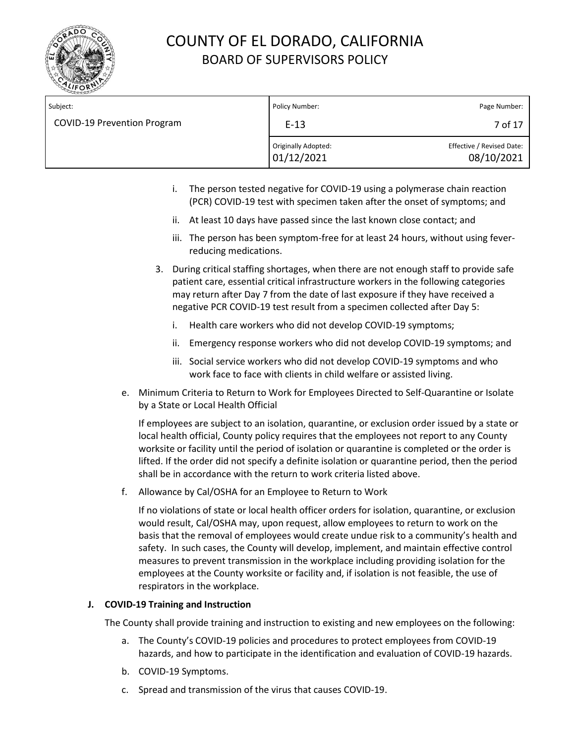

| Subject:                           | Policy Number:                    | Page Number:                            |
|------------------------------------|-----------------------------------|-----------------------------------------|
| <b>COVID-19 Prevention Program</b> | $E-13$                            | 7 of 17                                 |
|                                    | Originally Adopted:<br>01/12/2021 | Effective / Revised Date:<br>08/10/2021 |

- i. The person tested negative for COVID-19 using a polymerase chain reaction (PCR) COVID-19 test with specimen taken after the onset of symptoms; and
- ii. At least 10 days have passed since the last known close contact; and
- iii. The person has been symptom-free for at least 24 hours, without using feverreducing medications.
- 3. During critical staffing shortages, when there are not enough staff to provide safe patient care, essential critical infrastructure workers in the following categories may return after Day 7 from the date of last exposure if they have received a negative PCR COVID-19 test result from a specimen collected after Day 5:
	- i. Health care workers who did not develop COVID-19 symptoms;
	- ii. Emergency response workers who did not develop COVID-19 symptoms; and
	- iii. Social service workers who did not develop COVID-19 symptoms and who work face to face with clients in child welfare or assisted living.
- e. Minimum Criteria to Return to Work for Employees Directed to Self‐Quarantine or Isolate by a State or Local Health Official

If employees are subject to an isolation, quarantine, or exclusion order issued by a state or local health official, County policy requires that the employees not report to any County worksite or facility until the period of isolation or quarantine is completed or the order is lifted. If the order did not specify a definite isolation or quarantine period, then the period shall be in accordance with the return to work criteria listed above.

f. Allowance by Cal/OSHA for an Employee to Return to Work

If no violations of state or local health officer orders for isolation, quarantine, or exclusion would result, Cal/OSHA may, upon request, allow employees to return to work on the basis that the removal of employees would create undue risk to a community's health and safety. In such cases, the County will develop, implement, and maintain effective control measures to prevent transmission in the workplace including providing isolation for the employees at the County worksite or facility and, if isolation is not feasible, the use of respirators in the workplace.

### **J. COVID‐19 Training and Instruction**

The County shall provide training and instruction to existing and new employees on the following:

- a. The County's COVID‐19 policies and procedures to protect employees from COVID‐19 hazards, and how to participate in the identification and evaluation of COVID-19 hazards.
- b. COVID‐19 Symptoms.
- c. Spread and transmission of the virus that causes COVID‐19.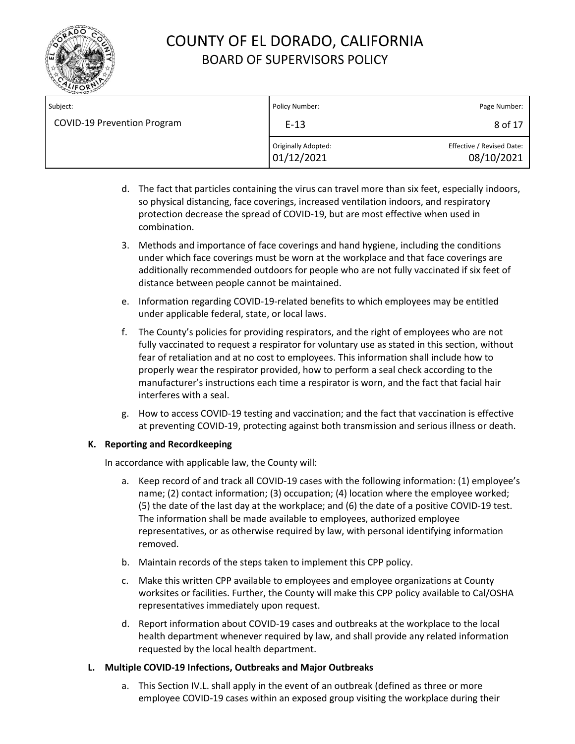

| Subject:                           | Policy Number:                    | Page Number:                            |
|------------------------------------|-----------------------------------|-----------------------------------------|
| <b>COVID-19 Prevention Program</b> | $E-13$                            | 8 of 17                                 |
|                                    | Originally Adopted:<br>01/12/2021 | Effective / Revised Date:<br>08/10/2021 |

- d. The fact that particles containing the virus can travel more than six feet, especially indoors, so physical distancing, face coverings, increased ventilation indoors, and respiratory protection decrease the spread of COVID-19, but are most effective when used in combination.
- 3. Methods and importance of face coverings and hand hygiene, including the conditions under which face coverings must be worn at the workplace and that face coverings are additionally recommended outdoors for people who are not fully vaccinated if six feet of distance between people cannot be maintained.
- e. Information regarding COVID‐19‐related benefits to which employees may be entitled under applicable federal, state, or local laws.
- f. The County's policies for providing respirators, and the right of employees who are not fully vaccinated to request a respirator for voluntary use as stated in this section, without fear of retaliation and at no cost to employees. This information shall include how to properly wear the respirator provided, how to perform a seal check according to the manufacturer's instructions each time a respirator is worn, and the fact that facial hair interferes with a seal.
- g. How to access COVID-19 testing and vaccination; and the fact that vaccination is effective at preventing COVID-19, protecting against both transmission and serious illness or death.

### **K. Reporting and Recordkeeping**

In accordance with applicable law, the County will:

- a. Keep record of and track all COVID‐19 cases with the following information: (1) employee's name; (2) contact information; (3) occupation; (4) location where the employee worked; (5) the date of the last day at the workplace; and (6) the date of a positive COVID‐19 test. The information shall be made available to employees, authorized employee representatives, or as otherwise required by law, with personal identifying information removed.
- b. Maintain records of the steps taken to implement this CPP policy.
- c. Make this written CPP available to employees and employee organizations at County worksites or facilities. Further, the County will make this CPP policy available to Cal/OSHA representatives immediately upon request.
- d. Report information about COVID-19 cases and outbreaks at the workplace to the local health department whenever required by law, and shall provide any related information requested by the local health department.

### **L. Multiple COVID‐19 Infections, Outbreaks and Major Outbreaks**

a. This Section IV.L. shall apply in the event of an outbreak (defined as three or more employee COVID-19 cases within an exposed group visiting the workplace during their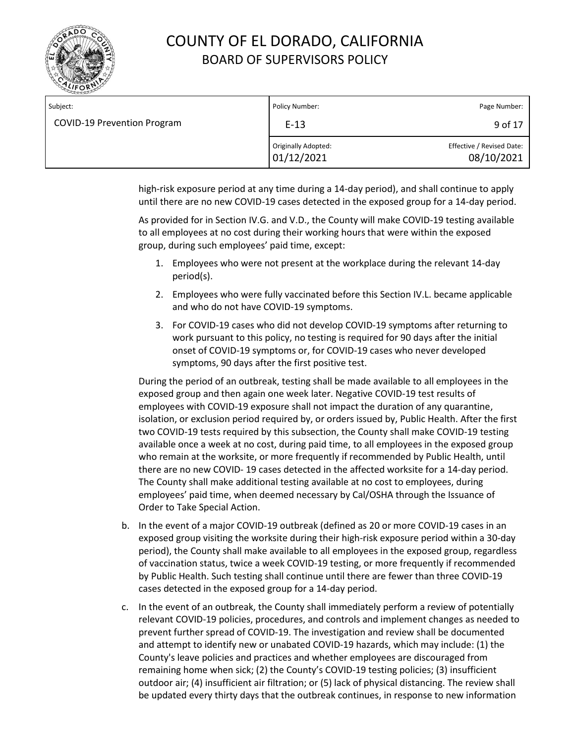

| Subject:                           | Policy Number:                    | Page Number:                            |
|------------------------------------|-----------------------------------|-----------------------------------------|
| <b>COVID-19 Prevention Program</b> | $E-13$                            | 9 of 17                                 |
|                                    | Originally Adopted:<br>01/12/2021 | Effective / Revised Date:<br>08/10/2021 |

high-risk exposure period at any time during a 14-day period), and shall continue to apply until there are no new COVID-19 cases detected in the exposed group for a 14-day period.

As provided for in Section IV.G. and V.D., the County will make COVID‐19 testing available to all employees at no cost during their working hours that were within the exposed group, during such employees' paid time, except:

- 1. Employees who were not present at the workplace during the relevant 14-day period(s).
- 2. Employees who were fully vaccinated before this Section IV.L. became applicable and who do not have COVID-19 symptoms.
- 3. For COVID-19 cases who did not develop COVID-19 symptoms after returning to work pursuant to this policy, no testing is required for 90 days after the initial onset of COVID-19 symptoms or, for COVID-19 cases who never developed symptoms, 90 days after the first positive test.

During the period of an outbreak, testing shall be made available to all employees in the exposed group and then again one week later. Negative COVID‐19 test results of employees with COVID‐19 exposure shall not impact the duration of any quarantine, isolation, or exclusion period required by, or orders issued by, Public Health. After the first two COVID‐19 tests required by this subsection, the County shall make COVID-19 testing available once a week at no cost, during paid time, to all employees in the exposed group who remain at the worksite, or more frequently if recommended by Public Health, until there are no new COVID‐ 19 cases detected in the affected worksite for a 14‐day period. The County shall make additional testing available at no cost to employees, during employees' paid time, when deemed necessary by Cal/OSHA through the Issuance of Order to Take Special Action.

- b. In the event of a major COVID‐19 outbreak (defined as 20 or more COVID‐19 cases in an exposed group visiting the worksite during their high-risk exposure period within a 30‐day period), the County shall make available to all employees in the exposed group, regardless of vaccination status, twice a week COVID‐19 testing, or more frequently if recommended by Public Health. Such testing shall continue until there are fewer than three COVID‐19 cases detected in the exposed group for a 14‐day period.
- c. In the event of an outbreak, the County shall immediately perform a review of potentially relevant COVID‐19 policies, procedures, and controls and implement changes as needed to prevent further spread of COVID‐19. The investigation and review shall be documented and attempt to identify new or unabated COVID‐19 hazards, which may include: (1) the County's leave policies and practices and whether employees are discouraged from remaining home when sick; (2) the County's COVID‐19 testing policies; (3) insufficient outdoor air; (4) insufficient air filtration; or (5) lack of physical distancing. The review shall be updated every thirty days that the outbreak continues, in response to new information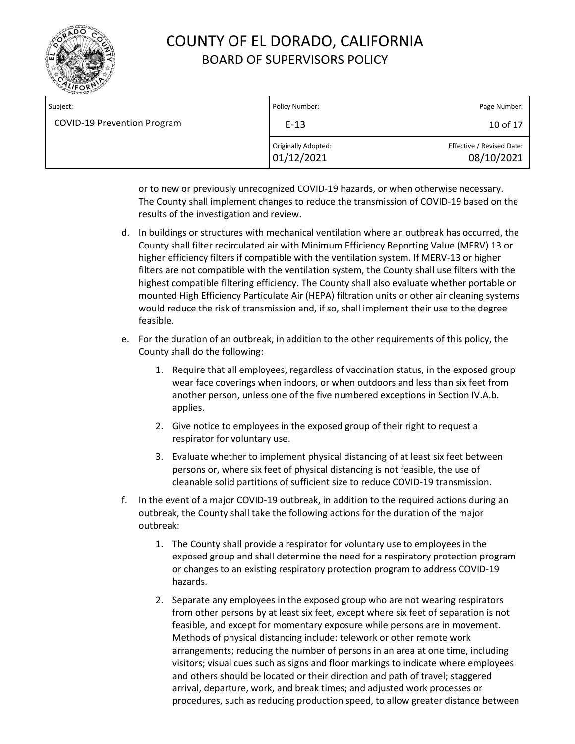

| Subject:                           | Policy Number:                    | Page Number:                            |
|------------------------------------|-----------------------------------|-----------------------------------------|
| <b>COVID-19 Prevention Program</b> | $E-13$                            | 10 of 17                                |
|                                    | Originally Adopted:<br>01/12/2021 | Effective / Revised Date:<br>08/10/2021 |

or to new or previously unrecognized COVID‐19 hazards, or when otherwise necessary. The County shall implement changes to reduce the transmission of COVID‐19 based on the results of the investigation and review.

- d. In buildings or structures with mechanical ventilation where an outbreak has occurred, the County shall filter recirculated air with Minimum Efficiency Reporting Value (MERV) 13 or higher efficiency filters if compatible with the ventilation system. If MERV-13 or higher filters are not compatible with the ventilation system, the County shall use filters with the highest compatible filtering efficiency. The County shall also evaluate whether portable or mounted High Efficiency Particulate Air (HEPA) filtration units or other air cleaning systems would reduce the risk of transmission and, if so, shall implement their use to the degree feasible.
- e. For the duration of an outbreak, in addition to the other requirements of this policy, the County shall do the following:
	- 1. Require that all employees, regardless of vaccination status, in the exposed group wear face coverings when indoors, or when outdoors and less than six feet from another person, unless one of the five numbered exceptions in Section IV.A.b. applies.
	- 2. Give notice to employees in the exposed group of their right to request a respirator for voluntary use.
	- 3. Evaluate whether to implement physical distancing of at least six feet between persons or, where six feet of physical distancing is not feasible, the use of cleanable solid partitions of sufficient size to reduce COVID-19 transmission.
- f. In the event of a major COVID‐19 outbreak, in addition to the required actions during an outbreak, the County shall take the following actions for the duration of the major outbreak:
	- 1. The County shall provide a respirator for voluntary use to employees in the exposed group and shall determine the need for a respiratory protection program or changes to an existing respiratory protection program to address COVID‐19 hazards.
	- 2. Separate any employees in the exposed group who are not wearing respirators from other persons by at least six feet, except where six feet of separation is not feasible, and except for momentary exposure while persons are in movement. Methods of physical distancing include: telework or other remote work arrangements; reducing the number of persons in an area at one time, including visitors; visual cues such as signs and floor markings to indicate where employees and others should be located or their direction and path of travel; staggered arrival, departure, work, and break times; and adjusted work processes or procedures, such as reducing production speed, to allow greater distance between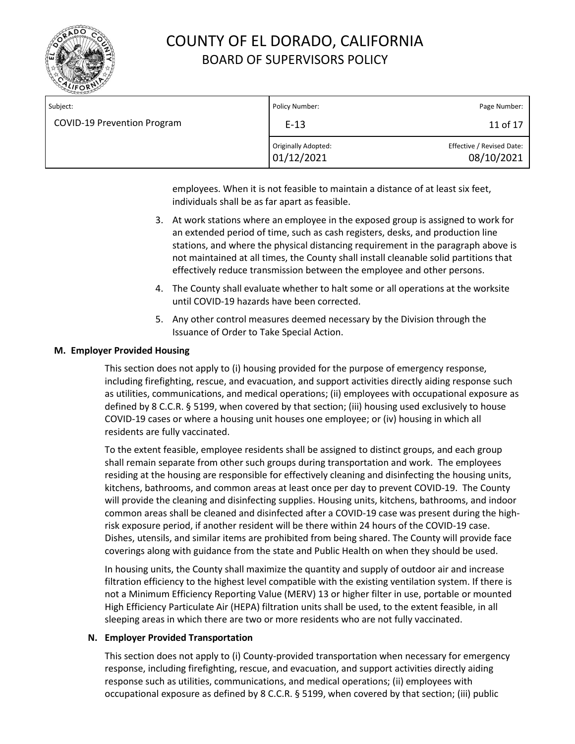

| Subject:                           | Policy Number:                    | Page Number:                            |
|------------------------------------|-----------------------------------|-----------------------------------------|
| <b>COVID-19 Prevention Program</b> | $E-13$                            | 11 of 17                                |
|                                    | Originally Adopted:<br>01/12/2021 | Effective / Revised Date:<br>08/10/2021 |

employees. When it is not feasible to maintain a distance of at least six feet, individuals shall be as far apart as feasible.

- 3. At work stations where an employee in the exposed group is assigned to work for an extended period of time, such as cash registers, desks, and production line stations, and where the physical distancing requirement in the paragraph above is not maintained at all times, the County shall install cleanable solid partitions that effectively reduce transmission between the employee and other persons.
- 4. The County shall evaluate whether to halt some or all operations at the worksite until COVID‐19 hazards have been corrected.
- 5. Any other control measures deemed necessary by the Division through the Issuance of Order to Take Special Action.

### **M. Employer Provided Housing**

This section does not apply to (i) housing provided for the purpose of emergency response, including firefighting, rescue, and evacuation, and support activities directly aiding response such as utilities, communications, and medical operations; (ii) employees with occupational exposure as defined by 8 C.C.R. § 5199, when covered by that section; (iii) housing used exclusively to house COVID-19 cases or where a housing unit houses one employee; or (iv) housing in which all residents are fully vaccinated.

To the extent feasible, employee residents shall be assigned to distinct groups, and each group shall remain separate from other such groups during transportation and work. The employees residing at the housing are responsible for effectively cleaning and disinfecting the housing units, kitchens, bathrooms, and common areas at least once per day to prevent COVID‐19. The County will provide the cleaning and disinfecting supplies. Housing units, kitchens, bathrooms, and indoor common areas shall be cleaned and disinfected after a COVID-19 case was present during the highrisk exposure period, if another resident will be there within 24 hours of the COVID-19 case. Dishes, utensils, and similar items are prohibited from being shared. The County will provide face coverings along with guidance from the state and Public Health on when they should be used.

In housing units, the County shall maximize the quantity and supply of outdoor air and increase filtration efficiency to the highest level compatible with the existing ventilation system. If there is not a Minimum Efficiency Reporting Value (MERV) 13 or higher filter in use, portable or mounted High Efficiency Particulate Air (HEPA) filtration units shall be used, to the extent feasible, in all sleeping areas in which there are two or more residents who are not fully vaccinated.

#### **N. Employer Provided Transportation**

This section does not apply to (i) County-provided transportation when necessary for emergency response, including firefighting, rescue, and evacuation, and support activities directly aiding response such as utilities, communications, and medical operations; (ii) employees with occupational exposure as defined by 8 C.C.R. § 5199, when covered by that section; (iii) public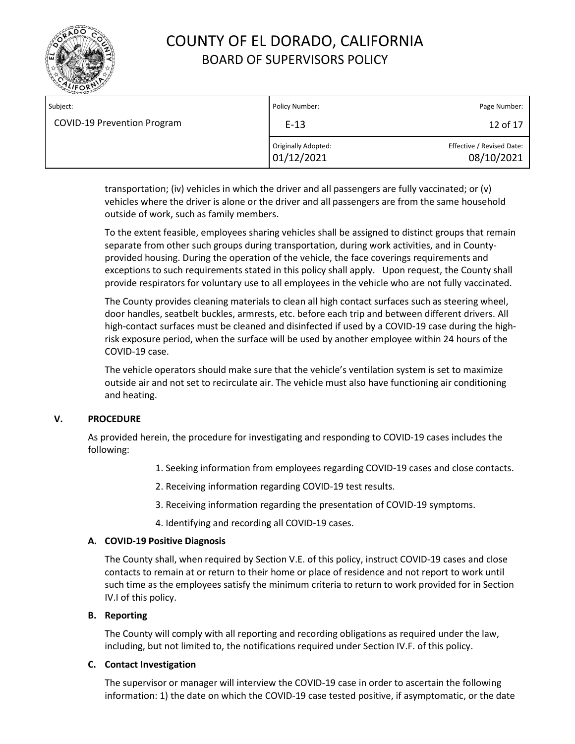

| Subject:                           | Policy Number:                    | Page Number:                            |
|------------------------------------|-----------------------------------|-----------------------------------------|
| <b>COVID-19 Prevention Program</b> | $E-13$                            | 12 of 17                                |
|                                    | Originally Adopted:<br>01/12/2021 | Effective / Revised Date:<br>08/10/2021 |

transportation; (iv) vehicles in which the driver and all passengers are fully vaccinated; or (v) vehicles where the driver is alone or the driver and all passengers are from the same household outside of work, such as family members.

To the extent feasible, employees sharing vehicles shall be assigned to distinct groups that remain separate from other such groups during transportation, during work activities, and in Countyprovided housing. During the operation of the vehicle, the face coverings requirements and exceptions to such requirements stated in this policy shall apply. Upon request, the County shall provide respirators for voluntary use to all employees in the vehicle who are not fully vaccinated.

The County provides cleaning materials to clean all high contact surfaces such as steering wheel, door handles, seatbelt buckles, armrests, etc. before each trip and between different drivers. All high-contact surfaces must be cleaned and disinfected if used by a COVID-19 case during the highrisk exposure period, when the surface will be used by another employee within 24 hours of the COVID-19 case.

The vehicle operators should make sure that the vehicle's ventilation system is set to maximize outside air and not set to recirculate air. The vehicle must also have functioning air conditioning and heating.

### **V. PROCEDURE**

As provided herein, the procedure for investigating and responding to COVID‐19 cases includes the following:

- 1. Seeking information from employees regarding COVID-19 cases and close contacts.
- 2. Receiving information regarding COVID‐19 test results.
- 3. Receiving information regarding the presentation of COVID‐19 symptoms.
- 4. Identifying and recording all COVID‐19 cases.

### **A. COVID‐19 Positive Diagnosis**

The County shall, when required by Section V.E. of this policy, instruct COVID‐19 cases and close contacts to remain at or return to their home or place of residence and not report to work until such time as the employees satisfy the minimum criteria to return to work provided for in Section IV.I of this policy.

### **B. Reporting**

The County will comply with all reporting and recording obligations as required under the law, including, but not limited to, the notifications required under Section IV.F. of this policy.

### **C. Contact Investigation**

The supervisor or manager will interview the COVID‐19 case in order to ascertain the following information: 1) the date on which the COVID-19 case tested positive, if asymptomatic, or the date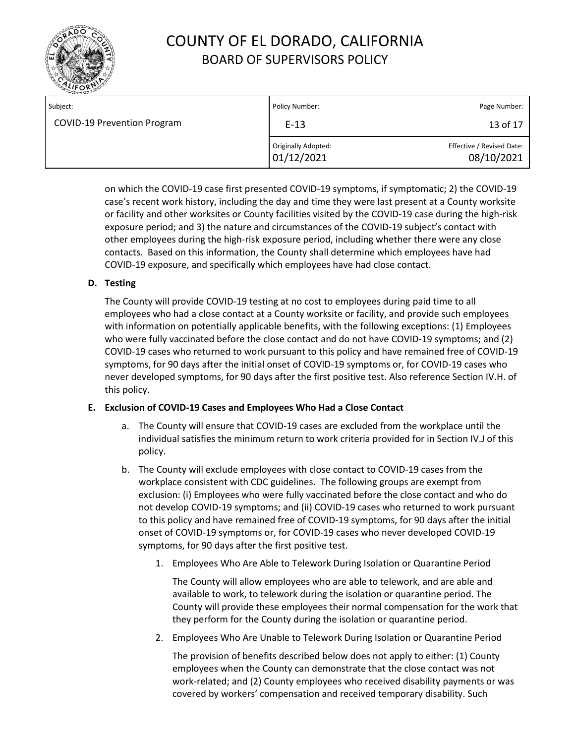

| Subject:                           | Policy Number:                    | Page Number:                            |
|------------------------------------|-----------------------------------|-----------------------------------------|
| <b>COVID-19 Prevention Program</b> | $E-13$                            | 13 of 17                                |
|                                    | Originally Adopted:<br>01/12/2021 | Effective / Revised Date:<br>08/10/2021 |

on which the COVID-19 case first presented COVID‐19 symptoms, if symptomatic; 2) the COVID‐19 case's recent work history, including the day and time they were last present at a County worksite or facility and other worksites or County facilities visited by the COVID‐19 case during the high‐risk exposure period; and 3) the nature and circumstances of the COVID‐19 subject's contact with other employees during the high‐risk exposure period, including whether there were any close contacts. Based on this information, the County shall determine which employees have had COVID‐19 exposure, and specifically which employees have had close contact.

### **D. Testing**

The County will provide COVID‐19 testing at no cost to employees during paid time to all employees who had a close contact at a County worksite or facility, and provide such employees with information on potentially applicable benefits, with the following exceptions: (1) Employees who were fully vaccinated before the close contact and do not have COVID-19 symptoms; and (2) COVID-19 cases who returned to work pursuant to this policy and have remained free of COVID-19 symptoms, for 90 days after the initial onset of COVID-19 symptoms or, for COVID-19 cases who never developed symptoms, for 90 days after the first positive test. Also reference Section IV.H. of this policy.

### **E. Exclusion of COVID‐19 Cases and Employees Who Had a Close Contact**

- a. The County will ensure that COVID‐19 cases are excluded from the workplace until the individual satisfies the minimum return to work criteria provided for in Section IV.J of this policy.
- b. The County will exclude employees with close contact to COVID‐19 cases from the workplace consistent with CDC guidelines. The following groups are exempt from exclusion: (i) Employees who were fully vaccinated before the close contact and who do not develop COVID-19 symptoms; and (ii) COVID-19 cases who returned to work pursuant to this policy and have remained free of COVID-19 symptoms, for 90 days after the initial onset of COVID-19 symptoms or, for COVID-19 cases who never developed COVID-19 symptoms, for 90 days after the first positive test.
	- 1. Employees Who Are Able to Telework During Isolation or Quarantine Period

The County will allow employees who are able to telework, and are able and available to work, to telework during the isolation or quarantine period. The County will provide these employees their normal compensation for the work that they perform for the County during the isolation or quarantine period.

2. Employees Who Are Unable to Telework During Isolation or Quarantine Period

The provision of benefits described below does not apply to either: (1) County employees when the County can demonstrate that the close contact was not work‐related; and (2) County employees who received disability payments or was covered by workers' compensation and received temporary disability. Such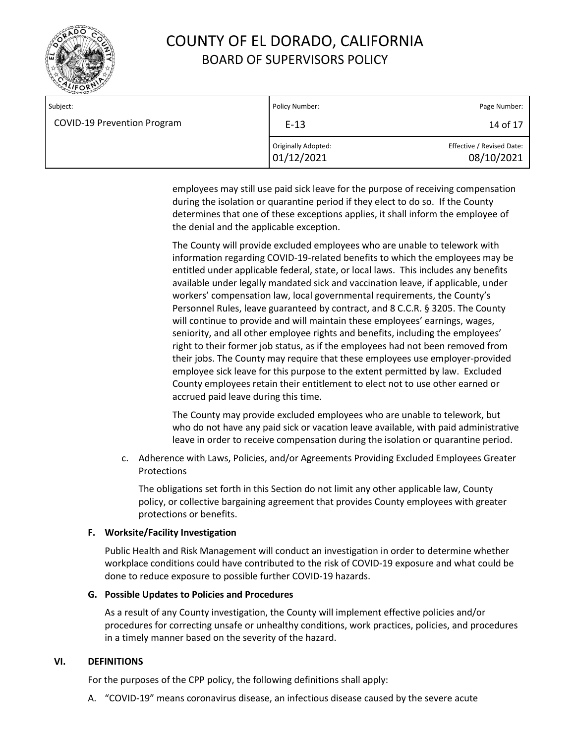

| Subject:                           | Policy Number:                    | Page Number:                            |
|------------------------------------|-----------------------------------|-----------------------------------------|
| <b>COVID-19 Prevention Program</b> | $E-13$                            | 14 of 17                                |
|                                    | Originally Adopted:<br>01/12/2021 | Effective / Revised Date:<br>08/10/2021 |

employees may still use paid sick leave for the purpose of receiving compensation during the isolation or quarantine period if they elect to do so. If the County determines that one of these exceptions applies, it shall inform the employee of the denial and the applicable exception.

The County will provide excluded employees who are unable to telework with information regarding COVID‐19‐related benefits to which the employees may be entitled under applicable federal, state, or local laws. This includes any benefits available under legally mandated sick and vaccination leave, if applicable, under workers' compensation law, local governmental requirements, the County's Personnel Rules, leave guaranteed by contract, and 8 C.C.R. § 3205. The County will continue to provide and will maintain these employees' earnings, wages, seniority, and all other employee rights and benefits, including the employees' right to their former job status, as if the employees had not been removed from their jobs. The County may require that these employees use employer‐provided employee sick leave for this purpose to the extent permitted by law. Excluded County employees retain their entitlement to elect not to use other earned or accrued paid leave during this time.

The County may provide excluded employees who are unable to telework, but who do not have any paid sick or vacation leave available, with paid administrative leave in order to receive compensation during the isolation or quarantine period.

c. Adherence with Laws, Policies, and/or Agreements Providing Excluded Employees Greater Protections

The obligations set forth in this Section do not limit any other applicable law, County policy, or collective bargaining agreement that provides County employees with greater protections or benefits.

### **F. Worksite/Facility Investigation**

Public Health and Risk Management will conduct an investigation in order to determine whether workplace conditions could have contributed to the risk of COVID‐19 exposure and what could be done to reduce exposure to possible further COVID‐19 hazards.

### **G. Possible Updates to Policies and Procedures**

As a result of any County investigation, the County will implement effective policies and/or procedures for correcting unsafe or unhealthy conditions, work practices, policies, and procedures in a timely manner based on the severity of the hazard.

### **VI. DEFINITIONS**

For the purposes of the CPP policy, the following definitions shall apply:

A. "COVID‐19" means coronavirus disease, an infectious disease caused by the severe acute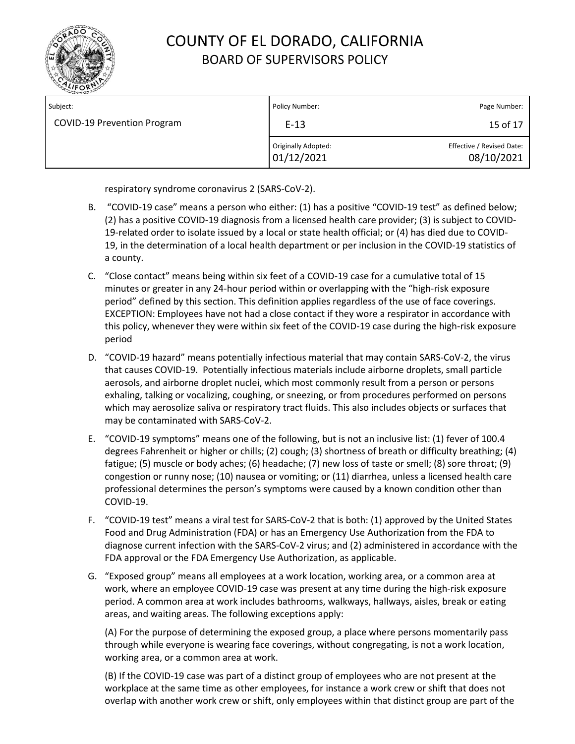

| Subject:                           | Policy Number:                    | Page Number:                            |
|------------------------------------|-----------------------------------|-----------------------------------------|
| <b>COVID-19 Prevention Program</b> | $E-13$                            | 15 of 17                                |
|                                    | Originally Adopted:<br>01/12/2021 | Effective / Revised Date:<br>08/10/2021 |

respiratory syndrome coronavirus 2 (SARS‐CoV‐2).

- B. "COVID-19 case" means a person who either: (1) has a positive "COVID-19 test" as defined below; (2) has a positive COVID-19 diagnosis from a licensed health care provider; (3) is subject to COVID‐ 19-related order to isolate issued by a local or state health official; or (4) has died due to COVID-19, in the determination of a local health department or per inclusion in the COVID‐19 statistics of a county.
- C. "Close contact" means being within six feet of a COVID-19 case for a cumulative total of 15 minutes or greater in any 24-hour period within or overlapping with the "high-risk exposure period" defined by this section. This definition applies regardless of the use of face coverings. EXCEPTION: Employees have not had a close contact if they wore a respirator in accordance with this policy, whenever they were within six feet of the COVID-19 case during the high-risk exposure period
- D. "COVID‐19 hazard" means potentially infectious material that may contain SARS‐CoV‐2, the virus that causes COVID‐19. Potentially infectious materials include airborne droplets, small particle aerosols, and airborne droplet nuclei, which most commonly result from a person or persons exhaling, talking or vocalizing, coughing, or sneezing, or from procedures performed on persons which may aerosolize saliva or respiratory tract fluids. This also includes objects or surfaces that may be contaminated with SARS‐CoV‐2.
- E. "COVID‐19 symptoms" means one of the following, but is not an inclusive list: (1) fever of 100.4 degrees Fahrenheit or higher or chills; (2) cough; (3) shortness of breath or difficulty breathing; (4) fatigue; (5) muscle or body aches; (6) headache; (7) new loss of taste or smell; (8) sore throat; (9) congestion or runny nose; (10) nausea or vomiting; or (11) diarrhea, unless a licensed health care professional determines the person's symptoms were caused by a known condition other than COVID‐19.
- F. "COVID‐19 test" means a viral test for SARS‐CoV‐2 that is both: (1) approved by the United States Food and Drug Administration (FDA) or has an Emergency Use Authorization from the FDA to diagnose current infection with the SARS‐CoV‐2 virus; and (2) administered in accordance with the FDA approval or the FDA Emergency Use Authorization, as applicable.
- G. "Exposed group" means all employees at a work location, working area, or a common area at work, where an employee COVID-19 case was present at any time during the high-risk exposure period. A common area at work includes bathrooms, walkways, hallways, aisles, break or eating areas, and waiting areas. The following exceptions apply:

(A) For the purpose of determining the exposed group, a place where persons momentarily pass through while everyone is wearing face coverings, without congregating, is not a work location, working area, or a common area at work.

(B) If the COVID-19 case was part of a distinct group of employees who are not present at the workplace at the same time as other employees, for instance a work crew or shift that does not overlap with another work crew or shift, only employees within that distinct group are part of the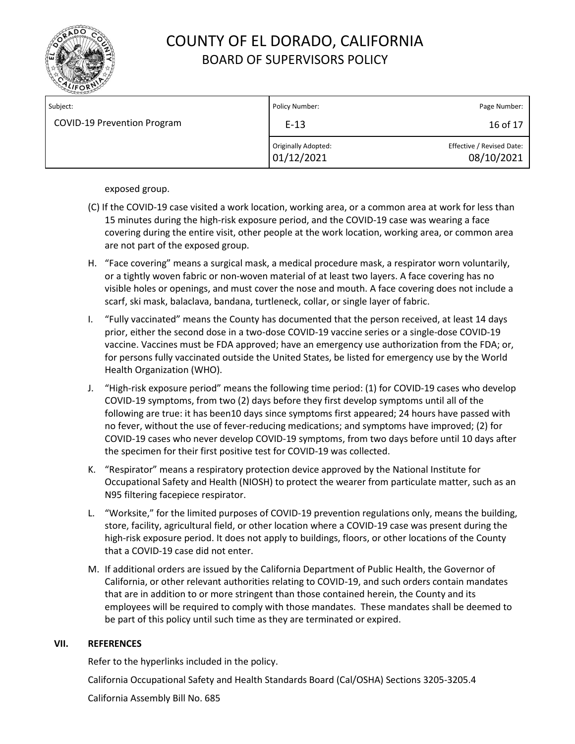

| Subject:                           | Policy Number:                    | Page Number:                            |
|------------------------------------|-----------------------------------|-----------------------------------------|
| <b>COVID-19 Prevention Program</b> | $E-13$                            | 16 of 17                                |
|                                    | Originally Adopted:<br>01/12/2021 | Effective / Revised Date:<br>08/10/2021 |

exposed group.

- (C) If the COVID-19 case visited a work location, working area, or a common area at work for less than 15 minutes during the high-risk exposure period, and the COVID-19 case was wearing a face covering during the entire visit, other people at the work location, working area, or common area are not part of the exposed group.
- H. "Face covering" means a surgical mask, a medical procedure mask, a respirator worn voluntarily, or a tightly woven fabric or non‐woven material of at least two layers. A face covering has no visible holes or openings, and must cover the nose and mouth. A face covering does not include a scarf, ski mask, balaclava, bandana, turtleneck, collar, or single layer of fabric.
- I. "Fully vaccinated" means the County has documented that the person received, at least 14 days prior, either the second dose in a two-dose COVID-19 vaccine series or a single-dose COVID-19 vaccine. Vaccines must be FDA approved; have an emergency use authorization from the FDA; or, for persons fully vaccinated outside the United States, be listed for emergency use by the World Health Organization (WHO).
- J. "High‐risk exposure period" means the following time period: (1) for COVID-19 cases who develop COVID‐19 symptoms, from two (2) days before they first develop symptoms until all of the following are true: it has been10 days since symptoms first appeared; 24 hours have passed with no fever, without the use of fever‐reducing medications; and symptoms have improved; (2) for COVID-19 cases who never develop COVID‐19 symptoms, from two days before until 10 days after the specimen for their first positive test for COVID‐19 was collected.
- K. "Respirator" means a respiratory protection device approved by the National Institute for Occupational Safety and Health (NIOSH) to protect the wearer from particulate matter, such as an N95 filtering facepiece respirator.
- L. "Worksite," for the limited purposes of COVID-19 prevention regulations only, means the building, store, facility, agricultural field, or other location where a COVID-19 case was present during the high-risk exposure period. It does not apply to buildings, floors, or other locations of the County that a COVID-19 case did not enter.
- M. If additional orders are issued by the California Department of Public Health, the Governor of California, or other relevant authorities relating to COVID-19, and such orders contain mandates that are in addition to or more stringent than those contained herein, the County and its employees will be required to comply with those mandates. These mandates shall be deemed to be part of this policy until such time as they are terminated or expired.

### **VII. REFERENCES**

Refer to the hyperlinks included in the policy.

California Occupational Safety and Health Standards Board (Cal/OSHA) Sections 3205‐3205.4

California Assembly Bill No. 685